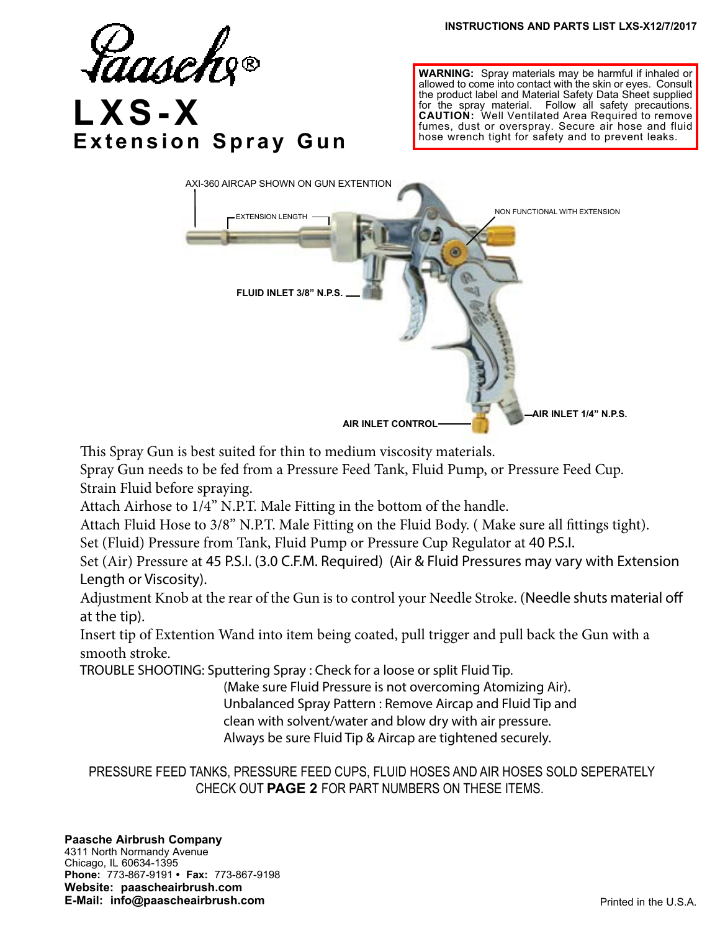

**WARNING:** Spray materials may be harmful if inhaled or allowed to come into contact with the skin or eyes. Consult the product label and Material Safety Data Sheet supplied for the spray material. Follow all safety precautions. **CAUTION:** Well Ventilated Area Required to remove fumes, dust or overspray. Secure air hose and fluid hose wrench tight for safety and to prevent leaks.



This Spray Gun is best suited for thin to medium viscosity materials.

Spray Gun needs to be fed from a Pressure Feed Tank, Fluid Pump, or Pressure Feed Cup. Strain Fluid before spraying.

Attach Airhose to 1/4" N.P.T. Male Fitting in the bottom of the handle.

Attach Fluid Hose to 3/8" N.P.T. Male Fitting on the Fluid Body. ( Make sure all fittings tight).

Set (Fluid) Pressure from Tank, Fluid Pump or Pressure Cup Regulator at 40 P.S.I.

Set (Air) Pressure at 45 P.S.I. (3.0 C.F.M. Required) (Air & Fluid Pressures may vary with Extension Length or Viscosity).

Adjustment Knob at the rear of the Gun is to control your Needle Stroke. (Needle shuts material off at the tip).

Insert tip of Extention Wand into item being coated, pull trigger and pull back the Gun with a smooth stroke.

TROUBLE SHOOTING: Sputtering Spray : Check for a loose or split Fluid Tip.

 (Make sure Fluid Pressure is not overcoming Atomizing Air). Unbalanced Spray Pattern : Remove Aircap and Fluid Tip and clean with solvent/water and blow dry with air pressure. Always be sure Fluid Tip & Aircap are tightened securely.

 PRESSURE FEED TANKS, PRESSURE FEED CUPS, FLUID HOSES AND AIR HOSES SOLD SEPERATELY CHECK OUT **PAGE 2** FOR PART NUMBERS ON THESE ITEMS.